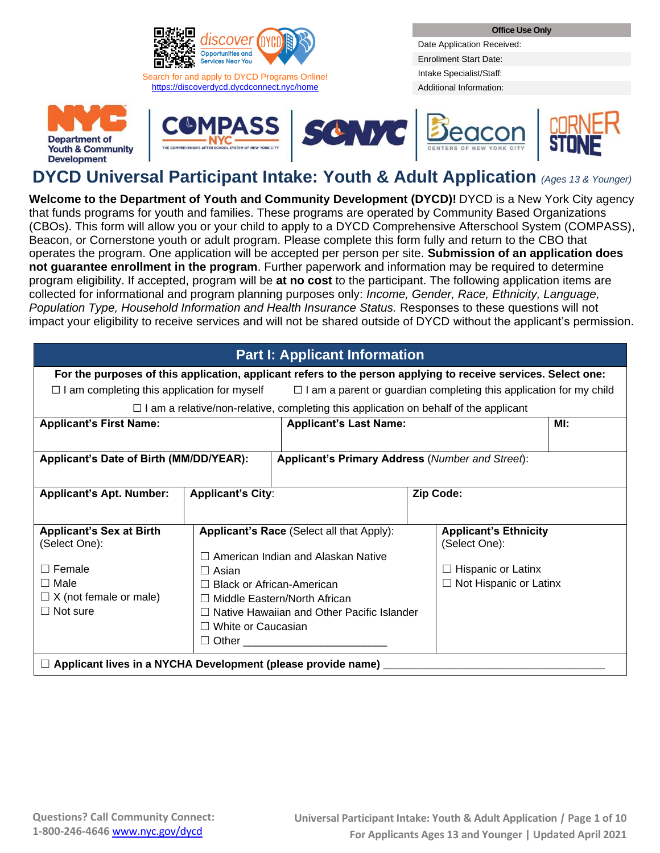

<https://discoverdycd.dycdconnect.nyc/home>

**Office Use Only**

Date Application Received: Enrollment Start Date: Intake Specialist/Staff: Additional Information:











# **DYCD Universal Participant Intake: Youth & Adult Application** *(Ages <sup>13</sup> & Younger)*

**Welcome to the Department of Youth and Community Development (DYCD)!** DYCD is a New York City agency that funds programs for youth and families. These programs are operated by Community Based Organizations (CBOs). This form will allow you or your child to apply to a DYCD Comprehensive Afterschool System (COMPASS), Beacon, or Cornerstone youth or adult program. Please complete this form fully and return to the CBO that operates the program. One application will be accepted per person per site. **Submission of an application does not guarantee enrollment in the program**. Further paperwork and information may be required to determine program eligibility. If accepted, program will be **at no cost** to the participant. The following application items are collected for informational and program planning purposes only: *Income, Gender, Race, Ethnicity, Language, Population Type, Household Information and Health Insurance Status.* Responses to these questions will not impact your eligibility to receive services and will not be shared outside of DYCD without the applicant's permission.

| <b>Part I: Applicant Information</b>                                                                           |                                            |                                                                                             |                                                                           |     |  |  |  |
|----------------------------------------------------------------------------------------------------------------|--------------------------------------------|---------------------------------------------------------------------------------------------|---------------------------------------------------------------------------|-----|--|--|--|
| For the purposes of this application, applicant refers to the person applying to receive services. Select one: |                                            |                                                                                             |                                                                           |     |  |  |  |
| $\Box$ I am completing this application for myself                                                             |                                            |                                                                                             | $\Box$ I am a parent or guardian completing this application for my child |     |  |  |  |
|                                                                                                                |                                            | $\Box$ I am a relative/non-relative, completing this application on behalf of the applicant |                                                                           |     |  |  |  |
| <b>Applicant's First Name:</b>                                                                                 |                                            | <b>Applicant's Last Name:</b>                                                               |                                                                           | MI: |  |  |  |
|                                                                                                                |                                            |                                                                                             |                                                                           |     |  |  |  |
| Applicant's Date of Birth (MM/DD/YEAR):                                                                        |                                            | Applicant's Primary Address (Number and Street):                                            |                                                                           |     |  |  |  |
|                                                                                                                |                                            |                                                                                             |                                                                           |     |  |  |  |
| <b>Applicant's Apt. Number:</b>                                                                                | <b>Applicant's City:</b>                   |                                                                                             | Zip Code:                                                                 |     |  |  |  |
|                                                                                                                |                                            |                                                                                             |                                                                           |     |  |  |  |
| <b>Applicant's Sex at Birth</b>                                                                                |                                            | Applicant's Race (Select all that Apply):                                                   | <b>Applicant's Ethnicity</b>                                              |     |  |  |  |
| (Select One):                                                                                                  |                                            | (Select One):                                                                               |                                                                           |     |  |  |  |
| $\Box$ Female                                                                                                  | $\Box$ Asian                               | $\Box$ American Indian and Alaskan Native<br>$\Box$ Hispanic or Latinx                      |                                                                           |     |  |  |  |
| $\Box$ Male                                                                                                    |                                            | $\Box$ Not Hispanic or Latinx<br><b>Black or African-American</b>                           |                                                                           |     |  |  |  |
| $\Box$ X (not female or male)                                                                                  | $\Box$ Middle Eastern/North African        |                                                                                             |                                                                           |     |  |  |  |
| $\Box$ Not sure                                                                                                | Native Hawaiian and Other Pacific Islander |                                                                                             |                                                                           |     |  |  |  |
|                                                                                                                | $\Box$ White or Caucasian                  |                                                                                             |                                                                           |     |  |  |  |
| $\Box$ Other $\Box$                                                                                            |                                            |                                                                                             |                                                                           |     |  |  |  |
| $\Box$ Applicant lives in a NYCHA Development (please provide name)                                            |                                            |                                                                                             |                                                                           |     |  |  |  |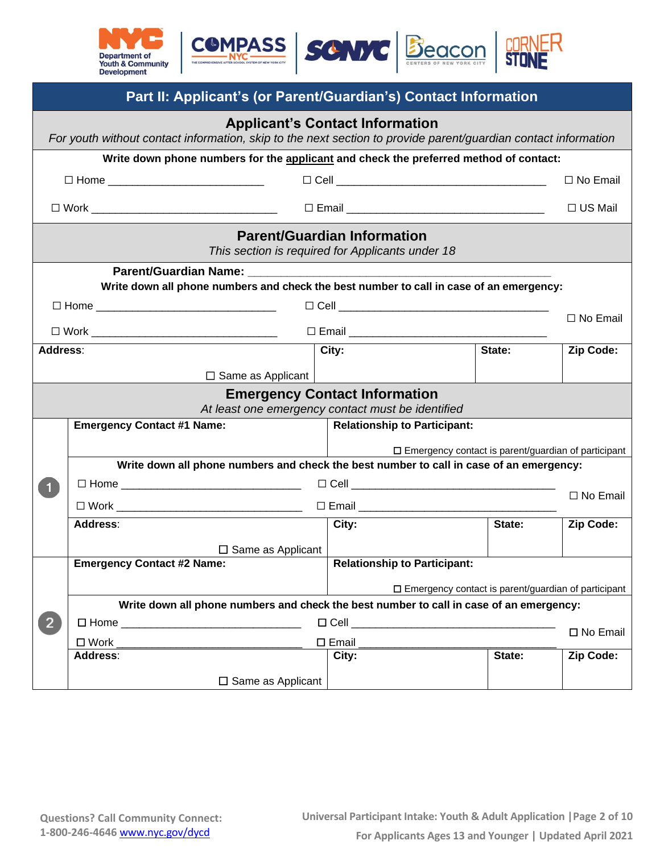

|                                                                                                                                                          | Part II: Applicant's (or Parent/Guardian's) Contact Information                                                                                                                                                                    |                 |                                                                                        |        |                 |  |  |  |
|----------------------------------------------------------------------------------------------------------------------------------------------------------|------------------------------------------------------------------------------------------------------------------------------------------------------------------------------------------------------------------------------------|-----------------|----------------------------------------------------------------------------------------|--------|-----------------|--|--|--|
| <b>Applicant's Contact Information</b><br>For youth without contact information, skip to the next section to provide parent/guardian contact information |                                                                                                                                                                                                                                    |                 |                                                                                        |        |                 |  |  |  |
|                                                                                                                                                          | Write down phone numbers for the applicant and check the preferred method of contact:                                                                                                                                              |                 |                                                                                        |        |                 |  |  |  |
|                                                                                                                                                          | □ Home _______________________________                                                                                                                                                                                             |                 |                                                                                        |        | $\Box$ No Email |  |  |  |
|                                                                                                                                                          |                                                                                                                                                                                                                                    |                 |                                                                                        |        | $\Box$ US Mail  |  |  |  |
|                                                                                                                                                          |                                                                                                                                                                                                                                    |                 | <b>Parent/Guardian Information</b><br>This section is required for Applicants under 18 |        |                 |  |  |  |
|                                                                                                                                                          | <b>Parent/Guardian Name:</b> Name: Name: Name: Name: Name: Name: Name: Name: Name: Name: Name: Name: Name: Name: Name: Name: Name: Name: Name: Name: Name: Name: Name: Name: Name: Name: Name: Name: Name: Name: Name: Name: Name: |                 |                                                                                        |        |                 |  |  |  |
|                                                                                                                                                          | Write down all phone numbers and check the best number to call in case of an emergency:                                                                                                                                            |                 |                                                                                        |        |                 |  |  |  |
|                                                                                                                                                          |                                                                                                                                                                                                                                    |                 |                                                                                        |        | □ No Email      |  |  |  |
|                                                                                                                                                          |                                                                                                                                                                                                                                    |                 |                                                                                        |        |                 |  |  |  |
| City:<br>Address:<br>State:                                                                                                                              |                                                                                                                                                                                                                                    |                 |                                                                                        |        | Zip Code:       |  |  |  |
|                                                                                                                                                          | $\Box$ Same as Applicant                                                                                                                                                                                                           |                 |                                                                                        |        |                 |  |  |  |
|                                                                                                                                                          | <b>Emergency Contact Information</b>                                                                                                                                                                                               |                 |                                                                                        |        |                 |  |  |  |
|                                                                                                                                                          |                                                                                                                                                                                                                                    |                 | At least one emergency contact must be identified                                      |        |                 |  |  |  |
|                                                                                                                                                          | <b>Emergency Contact #1 Name:</b>                                                                                                                                                                                                  |                 | <b>Relationship to Participant:</b>                                                    |        |                 |  |  |  |
|                                                                                                                                                          |                                                                                                                                                                                                                                    |                 | $\square$ Emergency contact is parent/guardian of participant                          |        |                 |  |  |  |
|                                                                                                                                                          | Write down all phone numbers and check the best number to call in case of an emergency:                                                                                                                                            |                 |                                                                                        |        |                 |  |  |  |
|                                                                                                                                                          |                                                                                                                                                                                                                                    |                 |                                                                                        |        | □ No Email      |  |  |  |
|                                                                                                                                                          |                                                                                                                                                                                                                                    |                 |                                                                                        |        |                 |  |  |  |
|                                                                                                                                                          | Address:                                                                                                                                                                                                                           |                 | City:                                                                                  | State: | Zip Code:       |  |  |  |
|                                                                                                                                                          | $\Box$ Same as Applicant                                                                                                                                                                                                           |                 |                                                                                        |        |                 |  |  |  |
|                                                                                                                                                          | <b>Emergency Contact #2 Name:</b>                                                                                                                                                                                                  |                 | <b>Relationship to Participant:</b>                                                    |        |                 |  |  |  |
| $\square$ Emergency contact is parent/guardian of participant                                                                                            |                                                                                                                                                                                                                                    |                 |                                                                                        |        |                 |  |  |  |
| Write down all phone numbers and check the best number to call in case of an emergency:                                                                  |                                                                                                                                                                                                                                    |                 |                                                                                        |        |                 |  |  |  |
| $\overline{2}$                                                                                                                                           |                                                                                                                                                                                                                                    |                 |                                                                                        |        | □ No Email      |  |  |  |
|                                                                                                                                                          | $\square$ Work<br><b>Address:</b>                                                                                                                                                                                                  | $\square$ Email | City:                                                                                  | State: | Zip Code:       |  |  |  |
|                                                                                                                                                          |                                                                                                                                                                                                                                    |                 |                                                                                        |        |                 |  |  |  |
|                                                                                                                                                          | $\Box$ Same as Applicant                                                                                                                                                                                                           |                 |                                                                                        |        |                 |  |  |  |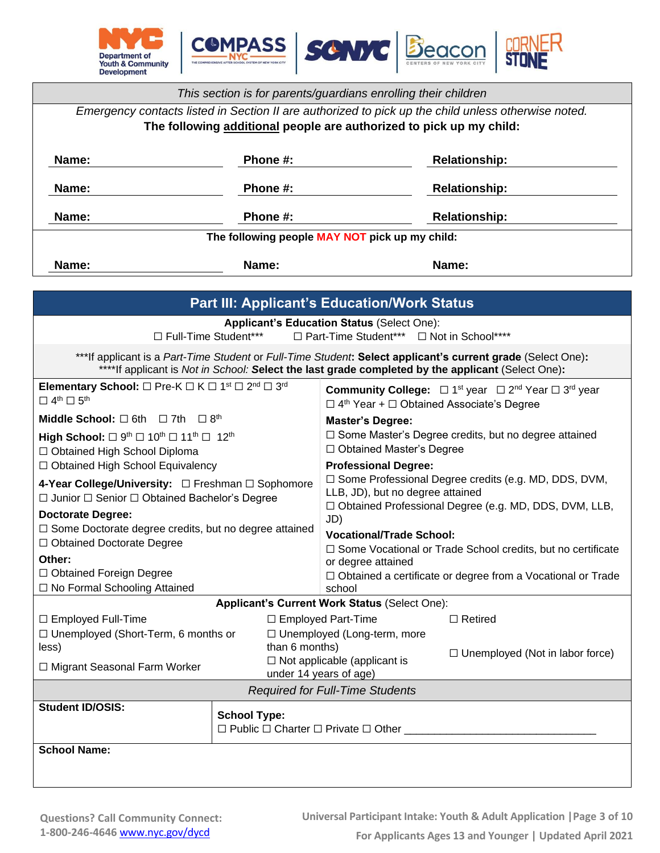

| This section is for parents/guardians enrolling their children                                      |                                                                     |  |  |  |  |  |
|-----------------------------------------------------------------------------------------------------|---------------------------------------------------------------------|--|--|--|--|--|
| Emergency contacts listed in Section II are authorized to pick up the child unless otherwise noted. |                                                                     |  |  |  |  |  |
|                                                                                                     | The following additional people are authorized to pick up my child: |  |  |  |  |  |
| <b>Relationship:</b><br><b>Name:</b><br>Phone #:                                                    |                                                                     |  |  |  |  |  |
| <b>Name:</b>                                                                                        | Phone #:<br><b>Relationship:</b>                                    |  |  |  |  |  |
| Name:<br><b>Relationship:</b><br>Phone #:                                                           |                                                                     |  |  |  |  |  |
| The following people MAY NOT pick up my child:                                                      |                                                                     |  |  |  |  |  |
| Name:<br>Name:<br>Name:                                                                             |                                                                     |  |  |  |  |  |

| <b>Part III: Applicant's Education/Work Status</b>                                                                                                                                                               |                        |                                                                                                                                                       |                                                                                                               |  |  |  |
|------------------------------------------------------------------------------------------------------------------------------------------------------------------------------------------------------------------|------------------------|-------------------------------------------------------------------------------------------------------------------------------------------------------|---------------------------------------------------------------------------------------------------------------|--|--|--|
| <b>Applicant's Education Status (Select One):</b><br>□ Full-Time Student***<br>□ Part-Time Student*** □ Not in School****                                                                                        |                        |                                                                                                                                                       |                                                                                                               |  |  |  |
| ***If applicant is a Part-Time Student or Full-Time Student: Select applicant's current grade (Select One):<br>****If applicant is Not in School: Select the last grade completed by the applicant (Select One): |                        |                                                                                                                                                       |                                                                                                               |  |  |  |
| Elementary School: $\Box$ Pre-K $\Box$ K $\Box$ 1 <sup>st</sup> $\Box$ 2 <sup>nd</sup> $\Box$ 3 <sup>rd</sup><br>$\Box$ 4 <sup>th</sup> $\Box$ 5 <sup>th</sup>                                                   |                        | $\Box$ 4 <sup>th</sup> Year + $\Box$ Obtained Associate's Degree                                                                                      | <b>Community College:</b> $\Box$ 1 <sup>st</sup> year $\Box$ 2 <sup>nd</sup> Year $\Box$ 3 <sup>rd</sup> year |  |  |  |
| <b>Middle School:</b> $\Box$ 6th $\Box$ 7th $\Box$ 8 <sup>th</sup>                                                                                                                                               |                        | <b>Master's Degree:</b>                                                                                                                               |                                                                                                               |  |  |  |
| High School: $\Box$ 9 <sup>th</sup> $\Box$ 10 <sup>th</sup> $\Box$ 11 <sup>th</sup> $\Box$ 12 <sup>th</sup><br>□ Obtained High School Diploma                                                                    |                        | □ Some Master's Degree credits, but no degree attained<br>□ Obtained Master's Degree                                                                  |                                                                                                               |  |  |  |
| □ Obtained High School Equivalency                                                                                                                                                                               |                        | <b>Professional Degree:</b>                                                                                                                           |                                                                                                               |  |  |  |
| □ Junior □ Senior □ Obtained Bachelor's Degree                                                                                                                                                                   |                        | □ Some Professional Degree credits (e.g. MD, DDS, DVM,<br>LLB, JD), but no degree attained<br>□ Obtained Professional Degree (e.g. MD, DDS, DVM, LLB, |                                                                                                               |  |  |  |
| <b>Doctorate Degree:</b>                                                                                                                                                                                         |                        | JD)                                                                                                                                                   |                                                                                                               |  |  |  |
| □ Some Doctorate degree credits, but no degree attained                                                                                                                                                          |                        | <b>Vocational/Trade School:</b>                                                                                                                       |                                                                                                               |  |  |  |
| □ Obtained Doctorate Degree                                                                                                                                                                                      |                        |                                                                                                                                                       | □ Some Vocational or Trade School credits, but no certificate                                                 |  |  |  |
| Other:                                                                                                                                                                                                           |                        | or degree attained                                                                                                                                    |                                                                                                               |  |  |  |
| □ Obtained Foreign Degree                                                                                                                                                                                        |                        | $\Box$ Obtained a certificate or degree from a Vocational or Trade                                                                                    |                                                                                                               |  |  |  |
| □ No Formal Schooling Attained                                                                                                                                                                                   |                        | school                                                                                                                                                |                                                                                                               |  |  |  |
|                                                                                                                                                                                                                  |                        | Applicant's Current Work Status (Select One):                                                                                                         |                                                                                                               |  |  |  |
| $\Box$ Employed Full-Time                                                                                                                                                                                        |                        | $\Box$ Employed Part-Time                                                                                                                             | $\Box$ Retired                                                                                                |  |  |  |
| □ Unemployed (Short-Term, 6 months or                                                                                                                                                                            |                        | □ Unemployed (Long-term, more                                                                                                                         |                                                                                                               |  |  |  |
| less)                                                                                                                                                                                                            | than 6 months)         | $\Box$ Not applicable (applicant is                                                                                                                   | $\Box$ Unemployed (Not in labor force)                                                                        |  |  |  |
| □ Migrant Seasonal Farm Worker                                                                                                                                                                                   | under 14 years of age) |                                                                                                                                                       |                                                                                                               |  |  |  |
| <b>Required for Full-Time Students</b>                                                                                                                                                                           |                        |                                                                                                                                                       |                                                                                                               |  |  |  |
| <b>Student ID/OSIS:</b>                                                                                                                                                                                          | <b>School Type:</b>    | $\Box$ Public $\Box$ Charter $\Box$ Private $\Box$ Other ______                                                                                       |                                                                                                               |  |  |  |
| <b>School Name:</b>                                                                                                                                                                                              |                        |                                                                                                                                                       |                                                                                                               |  |  |  |
|                                                                                                                                                                                                                  |                        |                                                                                                                                                       |                                                                                                               |  |  |  |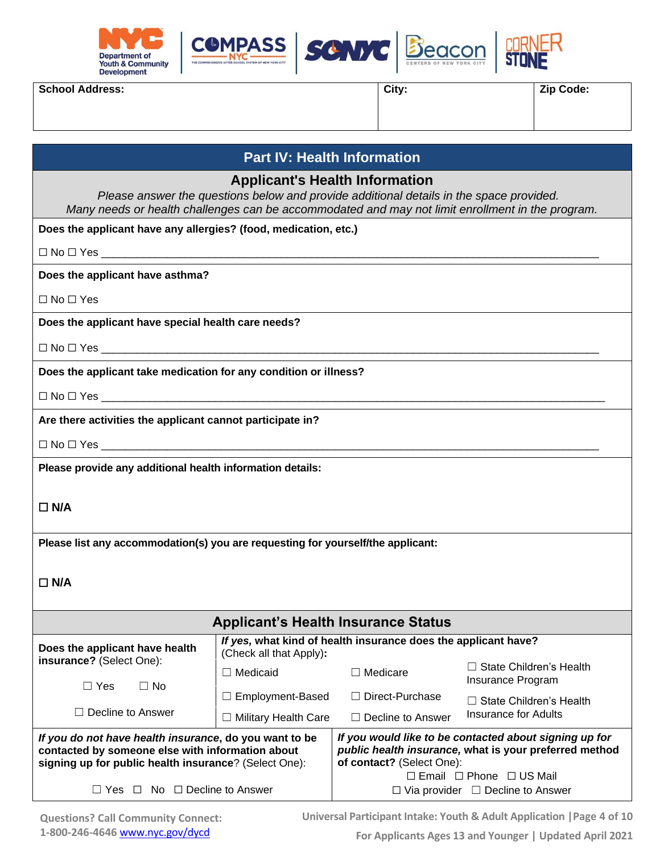





**School Address: Zip Code: Zip Code: Zip Code: Zip Code: Zip Code: Zip Code: Zip Code: Zip Code: Zip Code: Zip Code: Zip Code: Zip Code: Zip Code: Zip Code: Zip Code: Zip Code: Zip Code:**

| <b>Part IV: Health Information</b> |  |
|------------------------------------|--|
|------------------------------------|--|

**Applicant's Health Information**

*Please answer the questions below and provide additional details in the space provided. Many needs or health challenges can be accommodated and may not limit enrollment in the program.*

**Does the applicant have any allergies? (food, medication, etc.)**

 $\Box$  No  $\Box$  Yes

**Does the applicant have asthma?** 

☐ No ☐ Yes

**Does the applicant have special health care needs?**

☐ No ☐ Yes \_\_\_\_\_\_\_\_\_\_\_\_\_\_\_\_\_\_\_\_\_\_\_\_\_\_\_\_\_\_\_\_\_\_\_\_\_\_\_\_\_\_\_\_\_\_\_\_\_\_\_\_\_\_\_\_\_\_\_\_\_\_\_\_\_\_\_\_\_\_\_\_\_\_\_\_\_\_\_\_\_\_\_

**Does the applicant take medication for any condition or illness?**

 $\Box$  No  $\Box$  Yes  $\_\_\_\_\_\_\_\_\_\$ 

**Are there activities the applicant cannot participate in?**

 $\Box$  No  $\Box$  Yes  $\_$ 

**Please provide any additional health information details:**

### ☐ **N/A**

**Please list any accommodation(s) you are requesting for yourself/the applicant:**

### ☐ **N/A**

| <b>Applicant's Health Insurance Status</b>                                                                                                                          |                                                                                           |                                                                                                                                               |                                                     |  |  |  |
|---------------------------------------------------------------------------------------------------------------------------------------------------------------------|-------------------------------------------------------------------------------------------|-----------------------------------------------------------------------------------------------------------------------------------------------|-----------------------------------------------------|--|--|--|
| Does the applicant have health                                                                                                                                      | If yes, what kind of health insurance does the applicant have?<br>(Check all that Apply): |                                                                                                                                               |                                                     |  |  |  |
| insurance? (Select One):<br>$\Box$ Yes<br>$\Box$ No                                                                                                                 | $\Box$ Medicaid                                                                           | $\Box$ Medicare                                                                                                                               | $\Box$ State Children's Health<br>Insurance Program |  |  |  |
|                                                                                                                                                                     | $\Box$ Direct-Purchase<br>$\Box$ Employment-Based                                         |                                                                                                                                               | $\Box$ State Children's Health                      |  |  |  |
| $\Box$ Decline to Answer                                                                                                                                            | $\Box$ Military Health Care                                                               | $\Box$ Decline to Answer                                                                                                                      | Insurance for Adults                                |  |  |  |
| If you do not have health insurance, do you want to be<br>contacted by someone else with information about<br>signing up for public health insurance? (Select One): |                                                                                           | If you would like to be contacted about signing up for<br>public health insurance, what is your preferred method<br>of contact? (Select One): |                                                     |  |  |  |
|                                                                                                                                                                     |                                                                                           | $\Box$ Email $\Box$ Phone $\Box$ US Mail                                                                                                      |                                                     |  |  |  |
| $No \cap$ Decline to Answer<br>$\Box$<br>Yes                                                                                                                        |                                                                                           | $\Box$ Via provider $\Box$ Decline to Answer                                                                                                  |                                                     |  |  |  |

**Universal Participant Intake: Youth & Adult Application |Page 4 of 10**

**For Applicants Ages 13 and Younger | Updated April 2021**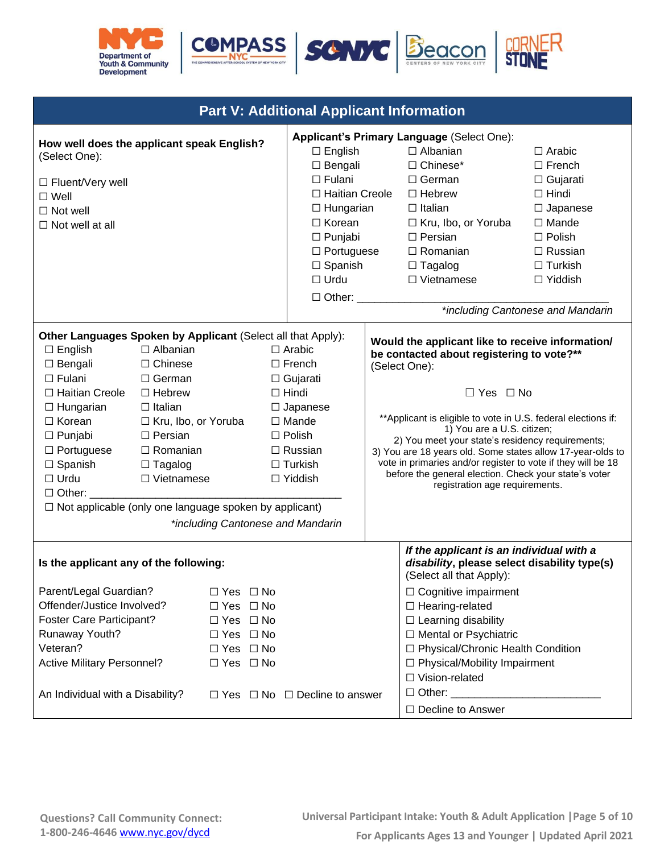







| <b>Part V: Additional Applicant Information</b>                                                                                                                                                                                                                                                                                             |                                                                                                                                                                                            |                                                                                                                                              |                                                                                                                                                                                                     |                                                                                                                                                                                                                  |                                                                                                                                                                                                                                 |                                                                                                                                                                                                                                                                                                                                                                                                                                                                                                                     |  |
|---------------------------------------------------------------------------------------------------------------------------------------------------------------------------------------------------------------------------------------------------------------------------------------------------------------------------------------------|--------------------------------------------------------------------------------------------------------------------------------------------------------------------------------------------|----------------------------------------------------------------------------------------------------------------------------------------------|-----------------------------------------------------------------------------------------------------------------------------------------------------------------------------------------------------|------------------------------------------------------------------------------------------------------------------------------------------------------------------------------------------------------------------|---------------------------------------------------------------------------------------------------------------------------------------------------------------------------------------------------------------------------------|---------------------------------------------------------------------------------------------------------------------------------------------------------------------------------------------------------------------------------------------------------------------------------------------------------------------------------------------------------------------------------------------------------------------------------------------------------------------------------------------------------------------|--|
| How well does the applicant speak English?<br>(Select One):<br>□ Fluent/Very well<br>$\square$ Well<br>$\Box$ Not well<br>$\Box$ Not well at all                                                                                                                                                                                            |                                                                                                                                                                                            |                                                                                                                                              | $\Box$ English<br>$\Box$ Bengali<br>$\Box$ Fulani<br>□ Haitian Creole<br>$\Box$ Hungarian<br>$\Box$ Korean<br>$\Box$ Punjabi<br>$\Box$ Portuguese<br>$\Box$ Spanish<br>$\Box$ Urdu<br>$\Box$ Other: |                                                                                                                                                                                                                  | Applicant's Primary Language (Select One):<br>$\Box$ Albanian<br>□ Chinese*<br>□ German<br>$\Box$ Hebrew<br>$\Box$ Italian<br>□ Kru, Ibo, or Yoruba<br>$\Box$ Persian<br>$\Box$ Romanian<br>$\Box$ Tagalog<br>$\Box$ Vietnamese | $\Box$ Arabic<br>$\Box$ French<br>$\Box$ Gujarati<br>$\Box$ Hindi<br>$\Box$ Japanese<br>$\Box$ Mande<br>$\square$ Polish<br>$\Box$ Russian<br>$\Box$ Turkish<br>$\Box$ Yiddish<br>*including Cantonese and Mandarin                                                                                                                                                                                                                                                                                                 |  |
| Other Languages Spoken by Applicant (Select all that Apply):<br>$\Box$ English<br>$\Box$ Bengali<br>$\Box$ Fulani<br>□ Haitian Creole<br>$\Box$ Hungarian<br>$\Box$ Korean<br>$\Box$ Punjabi<br>$\Box$ Portuguese<br>$\Box$ Spanish<br>$\Box$ Urdu<br>$\Box$ Other: $\Box$<br>$\Box$ Not applicable (only one language spoken by applicant) | $\Box$ Albanian<br>$\Box$ Chinese<br>$\Box$ German<br>$\Box$ Hebrew<br>$\Box$ Italian<br>□ Kru, Ibo, or Yoruba<br>$\Box$ Persian<br>$\Box$ Romanian<br>$\Box$ Tagalog<br>$\Box$ Vietnamese |                                                                                                                                              |                                                                                                                                                                                                     | $\Box$ Arabic<br>$\Box$ French<br>$\Box$ Gujarati<br>$\Box$ Hindi<br>$\Box$ Japanese<br>$\Box$ Mande<br>$\Box$ Polish<br>$\Box$ Russian<br>$\Box$ Turkish<br>$\Box$ Yiddish<br>*including Cantonese and Mandarin |                                                                                                                                                                                                                                 | Would the applicant like to receive information/<br>be contacted about registering to vote?**<br>(Select One):<br>$\Box$ Yes $\Box$ No<br>** Applicant is eligible to vote in U.S. federal elections if:<br>1) You are a U.S. citizen;<br>2) You meet your state's residency requirements;<br>3) You are 18 years old. Some states allow 17-year-olds to<br>vote in primaries and/or register to vote if they will be 18<br>before the general election. Check your state's voter<br>registration age requirements. |  |
| Is the applicant any of the following:<br>Parent/Legal Guardian?<br>Offender/Justice Involved?<br><b>Foster Care Participant?</b><br>Runaway Youth?<br>Veteran?<br><b>Active Military Personnel?</b><br>An Individual with a Disability?                                                                                                    |                                                                                                                                                                                            | $\Box$ Yes $\Box$ No<br>$\Box$ Yes $\Box$ No<br>$\Box$ Yes $\Box$ No<br>$\Box$ Yes $\Box$ No<br>$\Box$ Yes $\Box$ No<br>$\Box$ Yes $\Box$ No |                                                                                                                                                                                                     | $\Box$ Yes $\Box$ No $\Box$ Decline to answer                                                                                                                                                                    |                                                                                                                                                                                                                                 | If the applicant is an individual with a<br>disability, please select disability type(s)<br>(Select all that Apply):<br>$\Box$ Cognitive impairment<br>$\Box$ Hearing-related<br>$\Box$ Learning disability<br>□ Mental or Psychiatric<br>□ Physical/Chronic Health Condition<br>$\Box$ Physical/Mobility Impairment<br>$\Box$ Vision-related<br>$\Box$ Other:<br>$\Box$ Decline to Answer                                                                                                                          |  |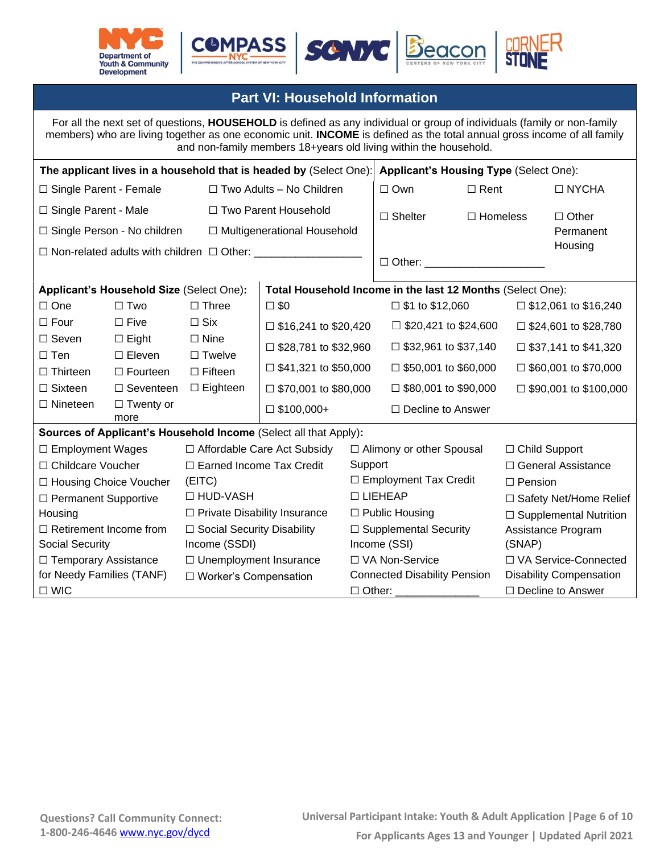





## **Part VI: Household Information**

For all the next set of questions, **HOUSEHOLD** is defined as any individual or group of individuals (family or non-family members) who are living together as one economic unit. **INCOME** is defined as the total annual gross income of all family and non-family members 18+years old living within the household. **The applicant lives in a household that is headed by** (Select One): **Applicant's Housing Type** (Select One): □ Single Parent - Female ☐ Single Parent - Male ☐ Single Person - No children ☐ Non-related adults with children ☐ Other: \_\_\_\_\_\_\_\_\_\_\_\_\_\_\_\_\_\_ ☐ Two Adults – No Children □ Two Parent Household ☐ Multigenerational Household ☐ Own □ Shelter ☐ Rent ☐ Homeless ☐ NYCHA ☐ Other Permanent **Housing**  $\Box$  Other: **Applicant's Household Size** (Select One)**: Total Household Income in the last 12 Months** (Select One): ☐ One ☐ Four ☐ Seven ☐ Ten ☐ Thirteen ☐ Sixteen ☐ Nineteen ☐ Two ☐ Five ☐ Eight ☐ Eleven ☐ Fourteen □ Seventeen □ Eighteen □ Twenty or more ☐ Three ☐ Six ☐ Nine □ Twelve ☐ Fifteen  $\square$  \$0  $\square$  \$16,241 to \$20,420  $\Box$  \$28,781 to \$32,960  $\Box$  \$41,321 to \$50,000  $\Box$  \$70,001 to \$80,000  $\square$  \$100,000+  $\square$  \$1 to \$12,060  $\Box$  \$20,421 to \$24,600  $\Box$  \$32,961 to \$37,140 ☐ \$50,001 to \$60,000  $\Box$  \$80,001 to \$90,000 ☐ Decline to Answer  $\square$  \$12,061 to \$16,240  $\Box$  \$24,601 to \$28,780  $\Box$  \$37,141 to \$41,320  $\Box$  \$60,001 to \$70,000  $\Box$  \$90,001 to \$100,000 **Sources of Applicant's Household Income** (Select all that Apply)**:** ☐ Employment Wages ☐ Childcare Voucher ☐ Housing Choice Voucher ☐ Permanent Supportive **Housing** ☐ Retirement Income from Social Security ☐ Temporary Assistance for Needy Families (TANF) ☐ WIC ☐ Affordable Care Act Subsidy ☐ Earned Income Tax Credit (EITC) ☐ HUD-VASH ☐ Private Disability Insurance ☐ Social Security Disability Income (SSDI) ☐ Unemployment Insurance ☐ Worker's Compensation ☐ Alimony or other Spousal **Support** ☐ Employment Tax Credit ☐ LIEHEAP ☐ Public Housing □ Supplemental Security Income (SSI) ☐ VA Non-Service Connected Disability Pension  $\Box$  Other: ☐ Child Support ☐ General Assistance ☐ Pension □ Safety Net/Home Relief □ Supplemental Nutrition Assistance Program (SNAP) ☐ VA Service-Connected Disability Compensation ☐ Decline to Answer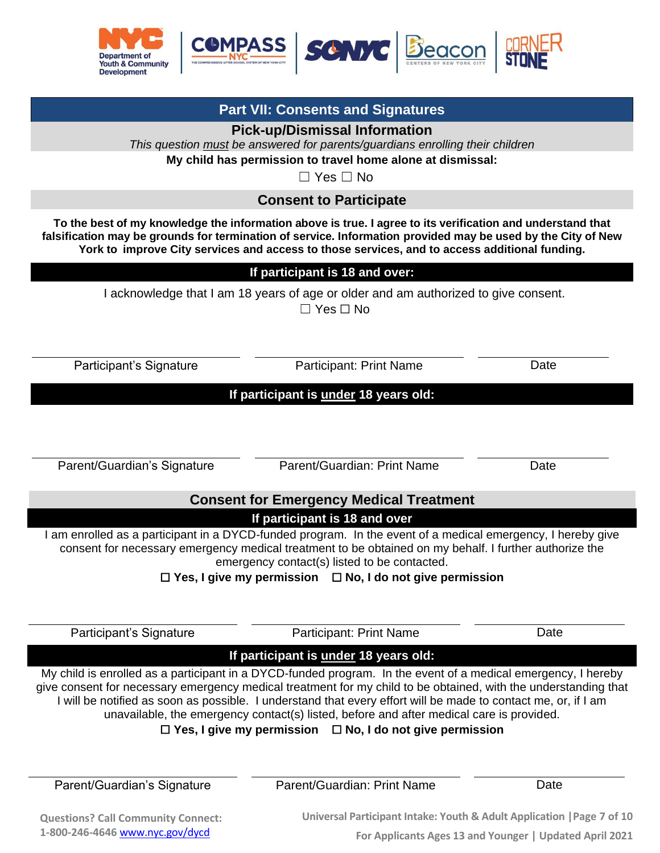

**Part VII: Consents and Signatures Pick-up/Dismissal Information** 

| This question must be answered for parents/guardians enrolling their children                               |                                                                                                                                                                                                                                                                                                                                                                                                                                                                                                                        |      |  |  |  |
|-------------------------------------------------------------------------------------------------------------|------------------------------------------------------------------------------------------------------------------------------------------------------------------------------------------------------------------------------------------------------------------------------------------------------------------------------------------------------------------------------------------------------------------------------------------------------------------------------------------------------------------------|------|--|--|--|
| My child has permission to travel home alone at dismissal:                                                  |                                                                                                                                                                                                                                                                                                                                                                                                                                                                                                                        |      |  |  |  |
|                                                                                                             | $\Box$ Yes $\Box$ No                                                                                                                                                                                                                                                                                                                                                                                                                                                                                                   |      |  |  |  |
|                                                                                                             | <b>Consent to Participate</b>                                                                                                                                                                                                                                                                                                                                                                                                                                                                                          |      |  |  |  |
|                                                                                                             | To the best of my knowledge the information above is true. I agree to its verification and understand that<br>falsification may be grounds for termination of service. Information provided may be used by the City of New<br>York to improve City services and access to those services, and to access additional funding.                                                                                                                                                                                            |      |  |  |  |
|                                                                                                             | If participant is 18 and over:                                                                                                                                                                                                                                                                                                                                                                                                                                                                                         |      |  |  |  |
| I acknowledge that I am 18 years of age or older and am authorized to give consent.<br>$\Box$ Yes $\Box$ No |                                                                                                                                                                                                                                                                                                                                                                                                                                                                                                                        |      |  |  |  |
| Participant's Signature                                                                                     | Participant: Print Name                                                                                                                                                                                                                                                                                                                                                                                                                                                                                                | Date |  |  |  |
|                                                                                                             | If participant is under 18 years old:                                                                                                                                                                                                                                                                                                                                                                                                                                                                                  |      |  |  |  |
| Parent/Guardian's Signature                                                                                 | Parent/Guardian: Print Name                                                                                                                                                                                                                                                                                                                                                                                                                                                                                            | Date |  |  |  |
|                                                                                                             | <b>Consent for Emergency Medical Treatment</b>                                                                                                                                                                                                                                                                                                                                                                                                                                                                         |      |  |  |  |
|                                                                                                             | If participant is 18 and over                                                                                                                                                                                                                                                                                                                                                                                                                                                                                          |      |  |  |  |
| $\Box$ Yes, I give my permission                                                                            | I am enrolled as a participant in a DYCD-funded program. In the event of a medical emergency, I hereby give<br>consent for necessary emergency medical treatment to be obtained on my behalf. I further authorize the<br>emergency contact(s) listed to be contacted.<br>$\Box$ No, I do not give permission                                                                                                                                                                                                           |      |  |  |  |
| Participant's Signature                                                                                     | <b>Participant: Print Name</b>                                                                                                                                                                                                                                                                                                                                                                                                                                                                                         | Date |  |  |  |
|                                                                                                             | If participant is under 18 years old:                                                                                                                                                                                                                                                                                                                                                                                                                                                                                  |      |  |  |  |
|                                                                                                             | My child is enrolled as a participant in a DYCD-funded program. In the event of a medical emergency, I hereby<br>give consent for necessary emergency medical treatment for my child to be obtained, with the understanding that<br>I will be notified as soon as possible. I understand that every effort will be made to contact me, or, if I am<br>unavailable, the emergency contact(s) listed, before and after medical care is provided.<br>$\Box$ Yes, I give my permission $\Box$ No, I do not give permission |      |  |  |  |
| Parent/Guardian's Signature                                                                                 | Parent/Guardian: Print Name                                                                                                                                                                                                                                                                                                                                                                                                                                                                                            | Date |  |  |  |

**Questions? Call Community Connect: 1-800-246-4646** [www.nyc.gov/dycd](http://www.nyc.gov/dycd)

**Universal Participant Intake: Youth & Adult Application |Page 7 of 10 For Applicants Ages 13 and Younger | Updated April 2021**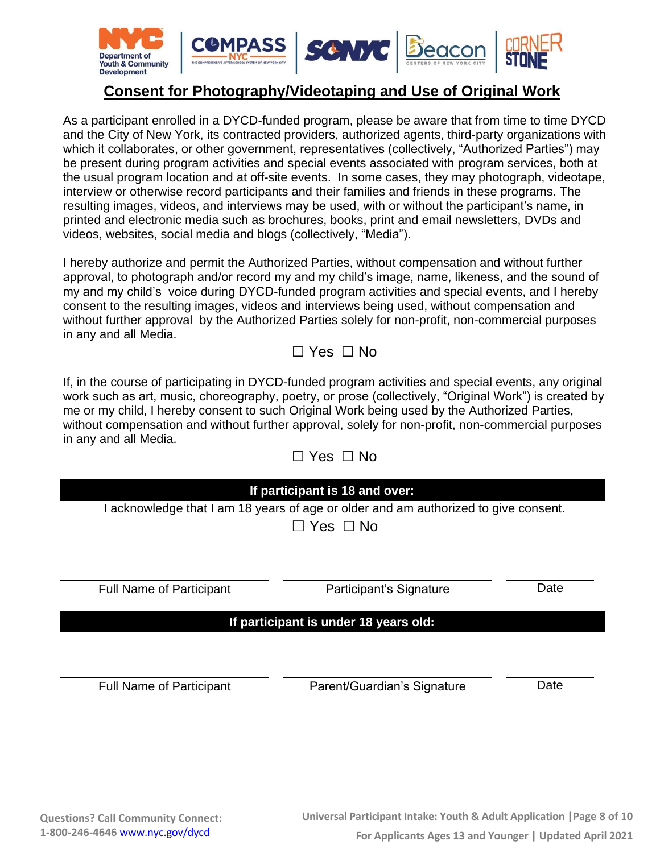

# **Consent for Photography/Videotaping and Use of Original Work**

As a participant enrolled in a DYCD-funded program, please be aware that from time to time DYCD and the City of New York, its contracted providers, authorized agents, third-party organizations with which it collaborates, or other government, representatives (collectively, "Authorized Parties") may be present during program activities and special events associated with program services, both at the usual program location and at off-site events. In some cases, they may photograph, videotape, interview or otherwise record participants and their families and friends in these programs. The resulting images, videos, and interviews may be used, with or without the participant's name, in printed and electronic media such as brochures, books, print and email newsletters, DVDs and videos, websites, social media and blogs (collectively, "Media").

I hereby authorize and permit the Authorized Parties, without compensation and without further approval, to photograph and/or record my and my child's image, name, likeness, and the sound of my and my child's voice during DYCD-funded program activities and special events, and I hereby consent to the resulting images, videos and interviews being used, without compensation and without further approval by the Authorized Parties solely for non-profit, non-commercial purposes in any and all Media.

# ☐ Yes ☐ No

If, in the course of participating in DYCD-funded program activities and special events, any original work such as art, music, choreography, poetry, or prose (collectively, "Original Work") is created by me or my child, I hereby consent to such Original Work being used by the Authorized Parties, without compensation and without further approval, solely for non-profit, non-commercial purposes in any and all Media.

 $\Box$  Ves  $\Box$  No

| If participant is 18 and over:<br>I acknowledge that I am 18 years of age or older and am authorized to give consent.<br>コ Yes ロ No |  |  |  |  |  |
|-------------------------------------------------------------------------------------------------------------------------------------|--|--|--|--|--|
|                                                                                                                                     |  |  |  |  |  |
| If participant is under 18 years old:                                                                                               |  |  |  |  |  |
|                                                                                                                                     |  |  |  |  |  |
|                                                                                                                                     |  |  |  |  |  |
|                                                                                                                                     |  |  |  |  |  |
|                                                                                                                                     |  |  |  |  |  |
| Date<br>Date                                                                                                                        |  |  |  |  |  |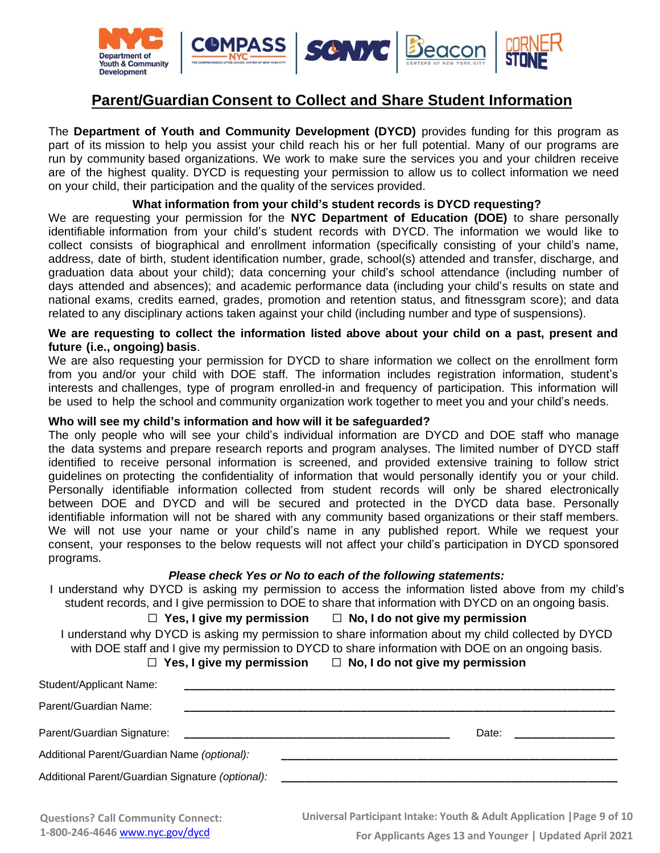

# **Parent/Guardian Consent to Collect and Share Student Information**

The **Department of Youth and Community Development (DYCD)** provides funding for this program as part of its mission to help you assist your child reach his or her full potential. Many of our programs are run by community based organizations. We work to make sure the services you and your children receive are of the highest quality. DYCD is requesting your permission to allow us to collect information we need on your child, their participation and the quality of the services provided.

#### **What information from your child's student records is DYCD requesting?**

We are requesting your permission for the **NYC Department of Education (DOE)** to share personally identifiable information from your child's student records with DYCD. The information we would like to collect consists of biographical and enrollment information (specifically consisting of your child's name, address, date of birth, student identification number, grade, school(s) attended and transfer, discharge, and graduation data about your child); data concerning your child's school attendance (including number of days attended and absences); and academic performance data (including your child's results on state and national exams, credits earned, grades, promotion and retention status, and fitnessgram score); and data related to any disciplinary actions taken against your child (including number and type of suspensions).

#### **We are requesting to collect the information listed above about your child on a past, present and future (i.e., ongoing) basis**.

We are also requesting your permission for DYCD to share information we collect on the enrollment form from you and/or your child with DOE staff. The information includes registration information, student's interests and challenges, type of program enrolled-in and frequency of participation. This information will be used to help the school and community organization work together to meet you and your child's needs.

#### **Who will see my child's information and how will it be safeguarded?**

The only people who will see your child's individual information are DYCD and DOE staff who manage the data systems and prepare research reports and program analyses. The limited number of DYCD staff identified to receive personal information is screened, and provided extensive training to follow strict guidelines on protecting the confidentiality of information that would personally identify you or your child. Personally identifiable information collected from student records will only be shared electronically between DOE and DYCD and will be secured and protected in the DYCD data base. Personally identifiable information will not be shared with any community based organizations or their staff members. We will not use your name or your child's name in any published report. While we request your consent, your responses to the below requests will not affect your child's participation in DYCD sponsored programs.

#### *Please check Yes or No to each of the following statements:*

I understand why DYCD is asking my permission to access the information listed above from my child's student records, and I give permission to DOE to share that information with DYCD on an ongoing basis.

#### ☐ **Yes, I give my permission** ☐ **No, I do not give my permission**

I understand why DYCD is asking my permission to share information about my child collected by DYCD with DOE staff and I give my permission to DYCD to share information with DOE on an ongoing basis.

☐ **Yes, I give my permission** ☐ **No, I do not give my permission**

| Student/Applicant Name:                          |                                                                |       |  |
|--------------------------------------------------|----------------------------------------------------------------|-------|--|
| Parent/Guardian Name:                            |                                                                |       |  |
| Parent/Guardian Signature:                       | <u> 1980 - Jan Barbara, martin da kasar Amerikaan kasar da</u> | Date: |  |
| Additional Parent/Guardian Name (optional):      |                                                                |       |  |
| Additional Parent/Guardian Signature (optional): |                                                                |       |  |
|                                                  |                                                                |       |  |

**Universal Participant Intake: Youth & Adult Application |Page 9 of 10**

**For Applicants Ages 13 and Younger | Updated April 2021**